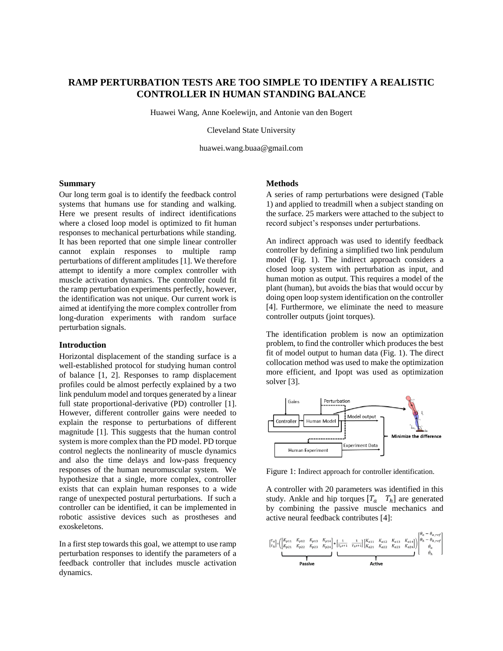# **RAMP PERTURBATION TESTS ARE TOO SIMPLE TO IDENTIFY A REALISTIC CONTROLLER IN HUMAN STANDING BALANCE**

Huawei Wang, Anne Koelewijn, and Antonie van den Bogert

Cleveland State University

huawei.wang.buaa@gmail.com

#### **Summary**

Our long term goal is to identify the feedback control systems that humans use for standing and walking. Here we present results of indirect identifications where a closed loop model is optimized to fit human responses to mechanical perturbations while standing. It has been reported that one simple linear controller cannot explain responses to multiple ramp perturbations of different amplitudes [1]. We therefore attempt to identify a more complex controller with muscle activation dynamics. The controller could fit the ramp perturbation experiments perfectly, however, the identification was not unique. Our current work is aimed at identifying the more complex controller from long-duration experiments with random surface perturbation signals.

# **Introduction**

Horizontal displacement of the standing surface is a well-established protocol for studying human control of balance [1, 2]. Responses to ramp displacement profiles could be almost perfectly explained by a two link pendulum model and torques generated by a linear full state proportional-derivative (PD) controller [1]. However, different controller gains were needed to explain the response to perturbations of different magnitude [1]. This suggests that the human control system is more complex than the PD model. PD torque control neglects the nonlinearity of muscle dynamics and also the time delays and low-pass frequency responses of the human neuromuscular system. We hypothesize that a single, more complex, controller exists that can explain human responses to a wide range of unexpected postural perturbations. If such a controller can be identified, it can be implemented in robotic assistive devices such as prostheses and exoskeletons.

In a first step towards this goal, we attempt to use ramp perturbation responses to identify the parameters of a feedback controller that includes muscle activation dynamics.

### **Methods**

A series of ramp perturbations were designed (Table 1) and applied to treadmill when a subject standing on the surface. 25 markers were attached to the subject to record subject's responses under perturbations.

An indirect approach was used to identify feedback controller by defining a simplified two link pendulum model (Fig. 1). The indirect approach considers a closed loop system with perturbation as input, and human motion as output. This requires a model of the plant (human), but avoids the bias that would occur by doing open loop system identification on the controller [4]. Furthermore, we eliminate the need to measure controller outputs (joint torques).

The identification problem is now an optimization problem, to find the controller which produces the best fit of model output to human data (Fig. 1). The direct collocation method was used to make the optimization more efficient, and Ipopt was used as optimization solver [3].



Figure 1: Indirect approach for controller identification.

A controller with 20 parameters was identified in this study. Ankle and hip torques  $[T_a \quad T_h]$  are generated by combining the passive muscle mechanics and active neural feedback contributes [4]:

$$
\begin{bmatrix} \tau_a \\ \tau_h \end{bmatrix} = \left( \begin{bmatrix} K_{p11} & K_{p12} & K_{p13} & K_{p14} \\ K_{p21} & K_{p22} & K_{p23} & K_{p24} \end{bmatrix} + \begin{bmatrix} \frac{1}{T_a s + 1} & \frac{1}{T_b s + 1} \end{bmatrix} \begin{bmatrix} K_{a11} & K_{a12} & K_{a13} & K_{a14} \\ K_{a21} & K_{a22} & K_{a23} & K_{a24} \end{bmatrix} \right) \begin{bmatrix} \theta_a - \theta_{a,ref} \\ \theta_h - \theta_{h,ref} \\ \theta_h \\ \dot{\theta}_h \end{bmatrix}
$$
   
Passive   
Active